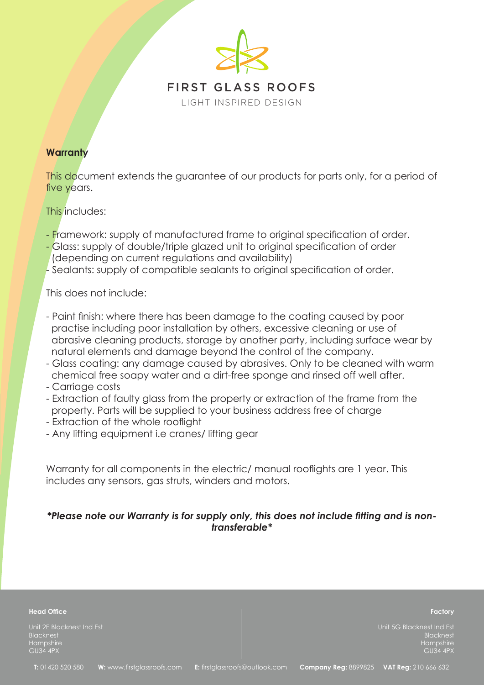

## **Warranty**

This document extends the guarantee of our products for parts only, for a period of five years.

## This includes:

- Framework: supply of manufactured frame to original specification of order.
- Glass: supply of double/triple glazed unit to original specification of order (depending on current regulations and availability)
- Sealants: supply of compatible sealants to original specification of order.

This does not include:

- Paint finish: where there has been damage to the coating caused by poor practise including poor installation by others, excessive cleaning or use of abrasive cleaning products, storage by another party, including surface wear by natural elements and damage beyond the control of the company.
- Glass coating: any damage caused by abrasives. Only to be cleaned with warm chemical free soapy water and a dirt-free sponge and rinsed off well after.
- Carriage costs
- Extraction of faulty glass from the property or extraction of the frame from the property. Parts will be supplied to your business address free of charge
- Extraction of the whole rooflight
- Any lifting equipment i.e cranes/ lifting gear

Warranty for all components in the electric/ manual rooflights are 1 year. This includes any sensors, gas struts, winders and motors.

## *\*Please note our Warranty is for supply only, this does not include fitting and is nontransferable\**

| <b>Head Office</b>                                                     | Factory                                                                |
|------------------------------------------------------------------------|------------------------------------------------------------------------|
| Unit 2E Blacknest Ind Est<br>Blacknest<br>Hampshire<br><b>GU34 4PX</b> | Unit 5G Blacknest Ind Est<br>Blacknest<br>Hampshire<br><b>GU34 4PX</b> |